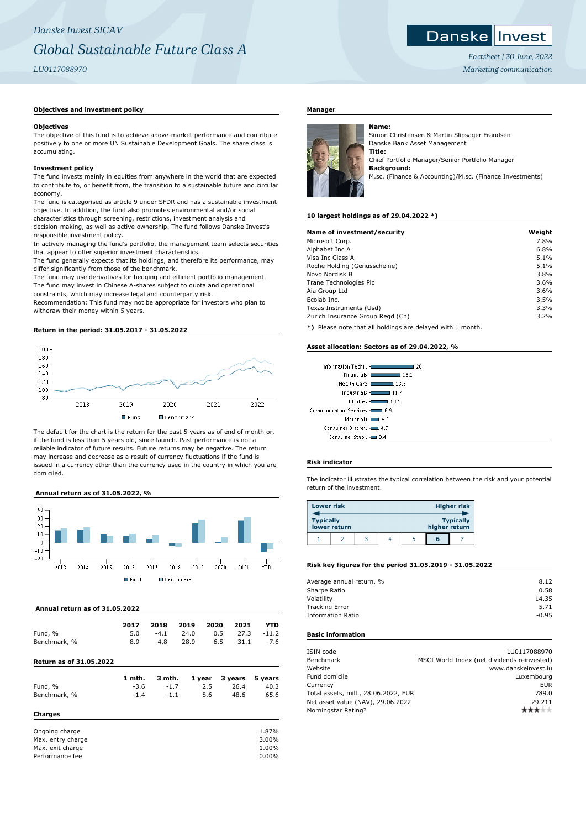## **Objectives and investment policy**

#### **Objectives**

The objective of this fund is to achieve above-market performance and contribute positively to one or more UN Sustainable Development Goals. The share class is accumulating.

## **Investment policy**

The fund invests mainly in equities from anywhere in the world that are expected to contribute to, or benefit from, the transition to a sustainable future and circular economy.

The fund is categorised as article 9 under SFDR and has a sustainable investment objective. In addition, the fund also promotes environmental and/or social characteristics through screening, restrictions, investment analysis and decision-making, as well as active ownership. The fund follows Danske Invest's responsible investment policy.

In actively managing the fund's portfolio, the management team selects securities that appear to offer superior investment characteristics.

The fund generally expects that its holdings, and therefore its performance, may differ significantly from those of the benchmark.

The fund may use derivatives for hedging and efficient portfolio management. The fund may invest in Chinese A-shares subject to quota and operational constraints, which may increase legal and counterparty risk.

Recommendation: This fund may not be appropriate for investors who plan to withdraw their money within 5 years.

# **Return in the period: 31.05.2017 - 31.05.2022**



The default for the chart is the return for the past 5 years as of end of month or, if the fund is less than 5 years old, since launch. Past performance is not a reliable indicator of future results. Future returns may be negative. The return may increase and decrease as a result of currency fluctuations if the fund is issued in a currency other than the currency used in the country in which you are domiciled.

## **Annual return as of 31.05.2022, %**



## **Annual return as of 31.05.2022**

|                                | 2017   | 2018   | 2019 | 2020   | 2021    | YTD      |
|--------------------------------|--------|--------|------|--------|---------|----------|
| Fund, %                        | 5.0    | $-4.1$ | 24.0 | 0.5    | 27.3    | $-11.2$  |
| Benchmark, %                   | 8.9    | $-4.8$ | 28.9 | 6.5    | 31.1    | $-7.6$   |
| <b>Return as of 31.05.2022</b> |        |        |      |        |         |          |
|                                | 1 mth. | 3 mth. |      | 1 year | 3 years | 5 years  |
| Fund, %                        | $-3.6$ | $-1.7$ |      | 2.5    | 26.4    | 40.3     |
| Benchmark, %                   | $-1.4$ | $-1.1$ |      | 8.6    | 48.6    | 65.6     |
| Charges                        |        |        |      |        |         |          |
| Ongoing charge                 |        |        |      |        |         | 1.87%    |
| Max. entry charge              |        |        |      |        |         | 3.00%    |
| Max. exit charge               |        |        |      |        |         | 1.00%    |
| Performance fee                |        |        |      |        |         | $0.00\%$ |

#### **Manager**



Simon Christensen & Martin Slipsager Frandsen Danske Bank Asset Management **Title:** Chief Portfolio Manager/Senior Portfolio Manager **Background:**

M.sc. (Finance & Accounting)/M.sc. (Finance Investments)

#### **10 largest holdings as of 29.04.2022 \*)**

**Name:**

| Name of investment/security      | Weight |
|----------------------------------|--------|
| Microsoft Corp.                  | 7.8%   |
| Alphabet Inc A                   | 6.8%   |
| Visa Inc Class A                 | 5.1%   |
| Roche Holding (Genusscheine)     | 5.1%   |
| Novo Nordisk B                   | 3.8%   |
| Trane Technologies Plc           | 3.6%   |
| Aia Group Ltd                    | 3.6%   |
| Ecolab Inc.                      | 3.5%   |
| Texas Instruments (Usd)          | 3.3%   |
| Zurich Insurance Group Regd (Ch) | 3.2%   |
|                                  |        |

**\*)** Please note that all holdings are delayed with 1 month.

#### **Asset allocation: Sectors as of 29.04.2022, %**

| Information Techn. -        | 26   |
|-----------------------------|------|
| Financials -                | 18.1 |
| Health Care -               | 13.8 |
| Industrials                 | 11.7 |
| <b>Utilities</b>            | 10.5 |
| Communication Services<br>÷ | 6.9  |
| Materials -                 | 49   |
| Consumer Discret. -         | 47   |
| Consumer Stapl. -           | 3.4  |
|                             |      |

#### **Risk indicator**

The indicator illustrates the typical correlation between the risk and your potential return of the investment.

| <b>Lower risk</b> |              |  |               | <b>Higher risk</b> |
|-------------------|--------------|--|---------------|--------------------|
| <b>Typically</b>  | lower return |  | higher return | <b>Typically</b>   |
|                   |              |  | តេ            |                    |

## **Risk key figures for the period 31.05.2019 - 31.05.2022**

| Average annual return, % | 8.12    |
|--------------------------|---------|
| Sharpe Ratio             | 0.58    |
| Volatility               | 14.35   |
| <b>Tracking Error</b>    | 5.71    |
| <b>Information Ratio</b> | $-0.95$ |
|                          |         |

## **Basic information**

| ISIN code                            | LU0117088970                                |
|--------------------------------------|---------------------------------------------|
| Benchmark                            | MSCI World Index (net dividends reinvested) |
| Website                              | www.danskeinvest.lu                         |
| Fund domicile                        | Luxembourg                                  |
| Currency                             | EUR                                         |
| Total assets, mill., 28.06.2022, EUR | 789.0                                       |
| Net asset value (NAV), 29.06.2022    | 29.211                                      |
| Morningstar Rating?                  |                                             |
|                                      |                                             |

*Factsheet | 30 June, 2022 Marketing communication*